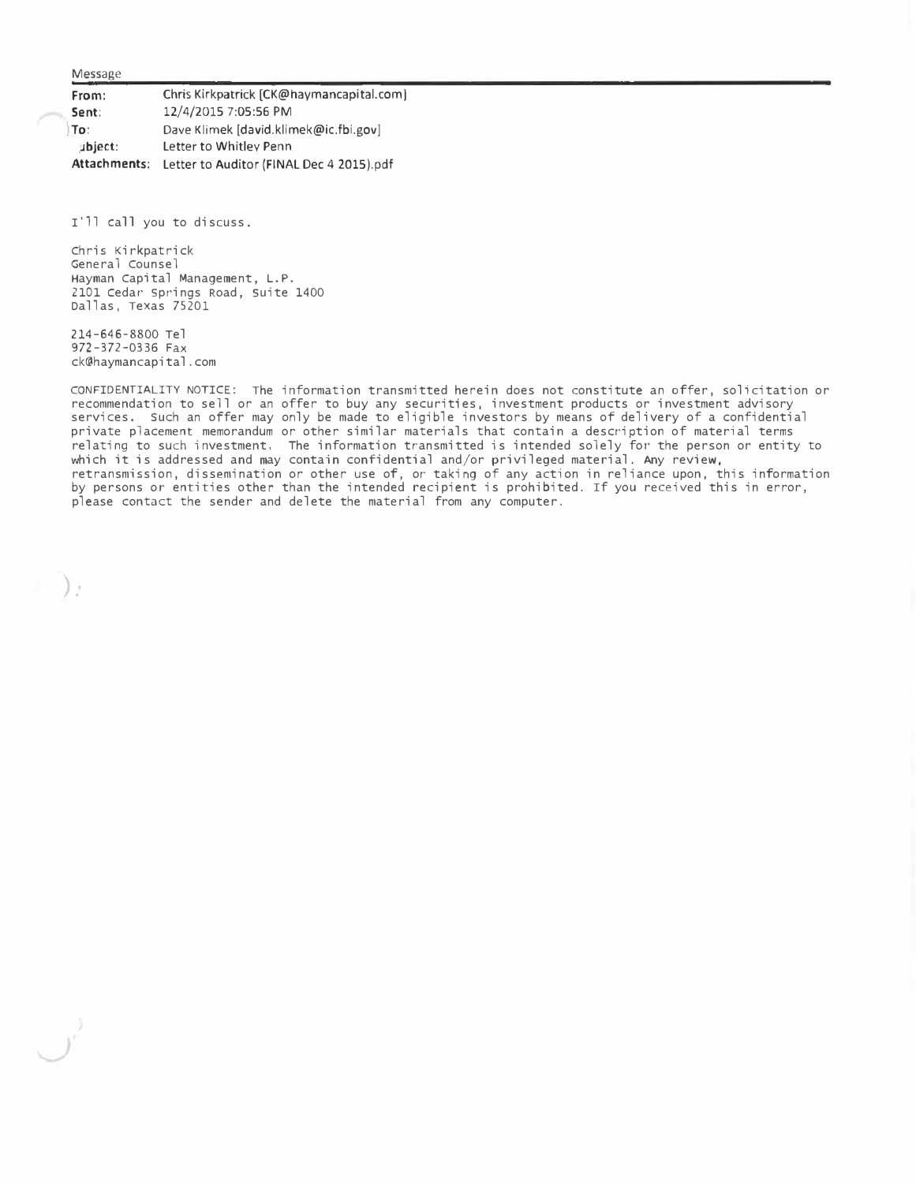Message

**From: Sent: )To:**  Chris Kirkpatrick [[CK@haymancapital.com\]](mailto:CK@havmancapital.com) 12/4/2015 7:05:56 PM Dave Klimek [[david.klimek@ic.fbi.gov](mailto:david.klimek@ic.fbi.gov)] ;Jbject: Letter to Whitley Penn **Attachments:** Letter to Auditor (FINAL Dec 4 2015).pdf

I'll call you to discuss.

Chris Kirkpatrick General Counsel Hayman Capital Management, L.P. 2101 cedar springs Road, suite 1400 Dallas, Texas 75201

214-646-8800 Tel 972-372-0336 Fax ck@haymancapital.com

**)** ."

*)* 

CONFIDENTIALITY NOTICE: The information transmitted herein does not constitute an offer, solicitation or recommendation to sell or an offer to buy any securities, investment products or investment advisory services. Such an offer may only be made to eligible investors by means of delivery of a confidential private placement memorandum or other similar materials that contain a description of material terms relating to such investment, The information transmitted is intended solely for the person or entity to which it is addressed and may contain confidential and/or privileged material. Any review, retransmission, dissemination or other use of, or taking of any action in reliance upon, this information by persons or entities other than the intended recipient is prohibited. If you received this in error, please contact the sender and delete the material from any computer.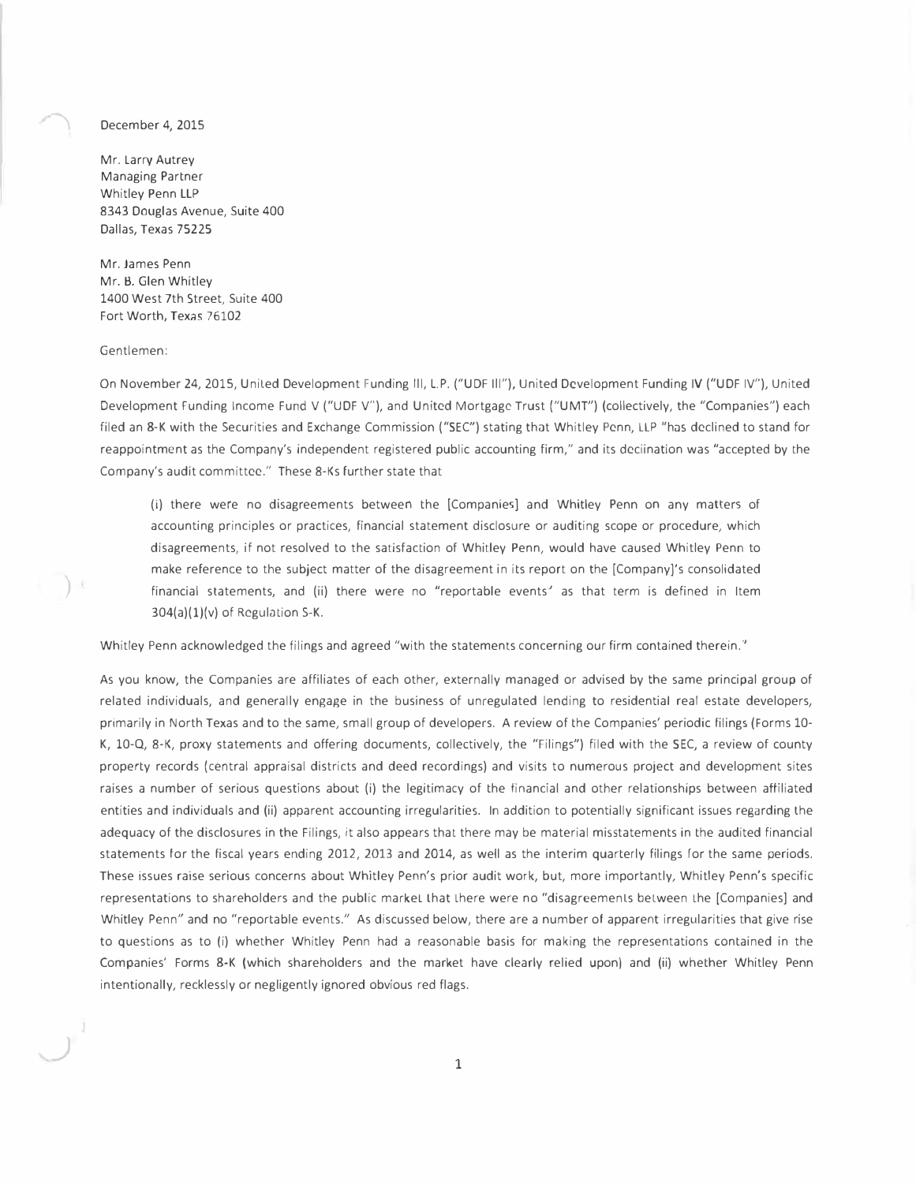## December 4, 2015

Mr. Larry Autrey Managing Partner Whitley Penn LLP 8343 Douglas Avenue, Suite 400 Dallas, Texas 75225

Mr. James Penn Mr. B. Glen Whitley 1400 West 7th Street, Suite 400 Fort Worth, Texas 76102

## Gentlemen:

 $\left| \right\rangle$ 

*j* 

On November 24, 2015, Uniled Development Funding Ill, L.P. ("UDF Ill"), United Development Funding IV ("UDF IV''), United Development Funding Income Fund V ("UDF V"), and United Mortgage Trust ("UMT") (collectively, the "Companies") each filed an 8-K with the Securities and Exchange Commission ("SEC") stating that Whitley Penn, LLP "has declined to stand for reappointment as the Company's independent registered public accounting firm," and its deciination was "accepted by the Company's audit committee." These 8-Ks further state that

(i) there were no disagreements between the [Companies) and Whitley Penn on any matters of accounting principles or practices, financial statement disclosure or auditing scope or procedure, which disagreements, if not resolved to the satisfaction of Whitley Penn, would have caused Whitley Penn to make reference to the subject matter of the disagreement in its report on the [Company]'s consolidated financial statements, and (ii) there were no "reportable events' as that term is defined in Item  $304(a)(1)(v)$  of Regulation S-K.

Whitley Penn acknowledged the filings and agreed "with the statements concerning our firm contained therein."

As you know, the Companies are affiliates of each other, externally managed or advised by the same principal group of related individuals, and generally engage in the business of unregulated lending to residential real estate developers, primarily in North Texas and to the same, small group of developers. A review of the Companies' periodic filings (Forms 10- K, 10-Q, 8-K, proxy statements and offering documents, collectively, the "Filings") filed with the SEC, a review of county property records ( central appraisal districts and deed recordings) and visits to numerous project and development sites raises a number of serious questions about (i) the legitimacy of the financial and other relationships between affiliated entities and individuals and (ii) apparent accounting irregularities. In addition to potentially significant issues regarding the adequacy of the disclosures in the Filings, it also appears that there may be material misstatements in the audited financial statements for the fiscal years ending 2012, 2013 and 2014, as well as the interim quarterly filings for the same periods. These issues raise serious concerns about Whitley Penn's prior audit work, but, more importantly, Whitley Penn's specific representations to shareholders and the public markel Lhat Lhere were no "disagreemenls belween Lhe [Companies] and Whitley Penn" and no "reportable events." As discussed below, there are a number of apparent irregularities that give rise to questions as to (i) whether Whitley Penn had a reasonable basis for making the representations contained in the Companies' Forms 8-K (which shareholders and the market have clearly relied upon) and (ii) whether Whitley Penn intentionally, recklessly or negligently ignored obvious red flags.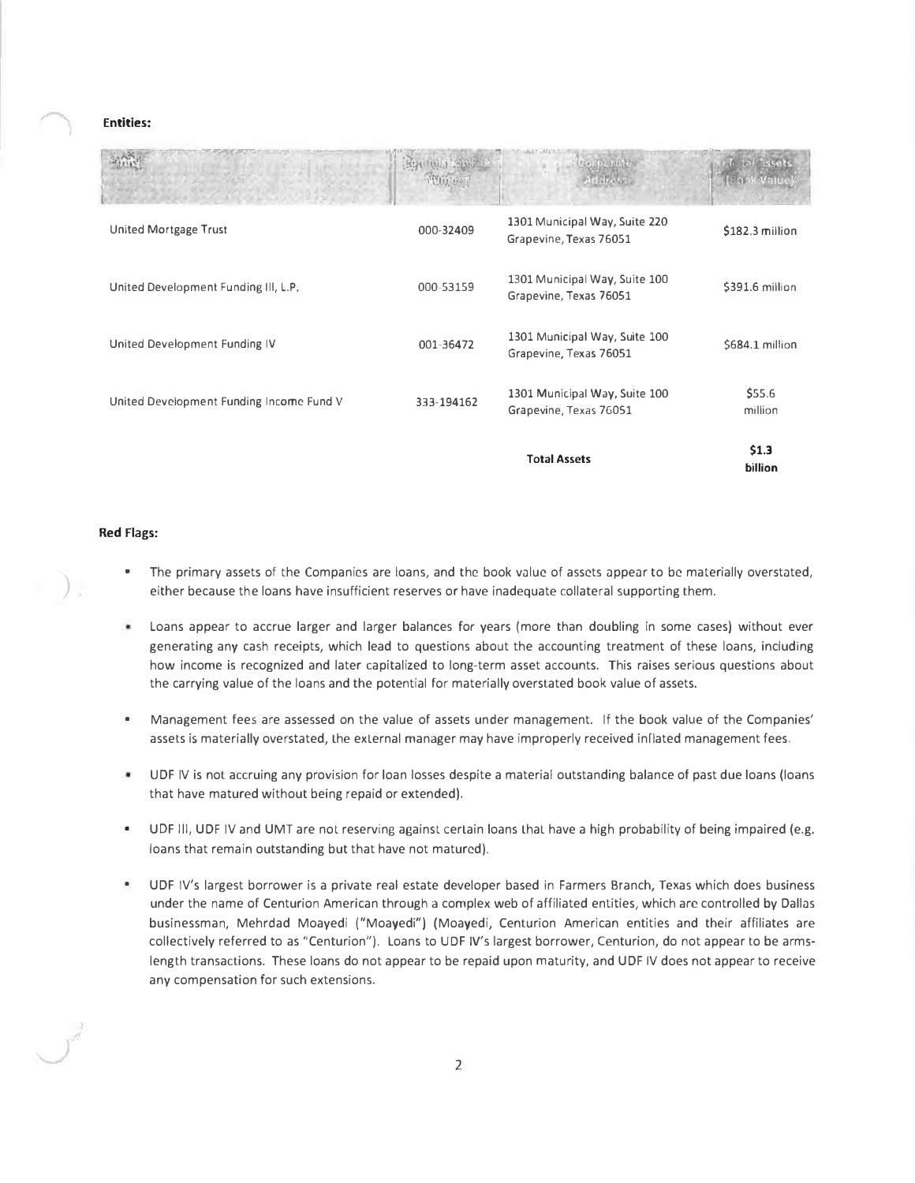## **Entities:**

| United Mortgage Trust                    | 000-32409  | 1301 Municipal Way, Suite 220<br>Grapevine, Texas 76051 | \$182.3 million   |
|------------------------------------------|------------|---------------------------------------------------------|-------------------|
| United Development Funding III, L.P.     | 000-53159  | 1301 Municipal Way, Suite 100<br>Grapevine, Texas 76051 | \$391.6 million   |
| United Development Funding IV            | 001-36472  | 1301 Municipal Way, Suite 100<br>Grapevine, Texas 76051 | \$684.1 million   |
| United Development Funding Income Fund V | 333-194162 | 1301 Municipal Way, Suite 100<br>Grapevine, Texas 76051 | \$55.6<br>million |
|                                          |            | <b>Total Assets</b>                                     | \$1.3<br>billion  |

## **Red Flags:**

*)* 

- The primary assets of the Companies are loans, and the book value of assets appear to be materially overstated, either because the loans have insufficient reserves or have inadequate collateral supporting them.
- Loans appear to accrue larger and larger balances for years {more than doubling in some cases) without ever generating any cash receipts, which lead to questions about the accounting treatment of these loans, including how income is recognized and later capitalized to long-term asset accounts. This raises serious questions about the carrying value of the loans and the potential for materially overstated book value of assets.
- Management fees are assessed on the value of assets under management. If the book value of the Companies' assets is materially overstated, the external manager may have improperly received inflated management fees.
- ۰ UDF IV is not accruing any provision for loan losses despite a material outstanding balance of past due loans {loans that have matured without being repaid or extended).
- UDF III, UDF IV and UMT are not reserving against certain loans that have a high probability of being impaired (e.g. loans that remain outstanding but that have not matured).
- UDF IV's largest borrower is a private real estate developer based in Farmers Branch, Texas which does business under the name of Centurion American through a complex web of affiliated entities, which are controlled by Dallas businessman, Mehrdad Moayedi ("Moayedi") (Moayedi, Centurion American entities and their affiliates are collectively referred to as "Centurion"). Loans to UDF IV's largest borrower, Centurion, do not appear to be armslength transactions. These loans do not appear to be repaid upon maturity, and UDF IV does not appear to receive any compensation for such extensions.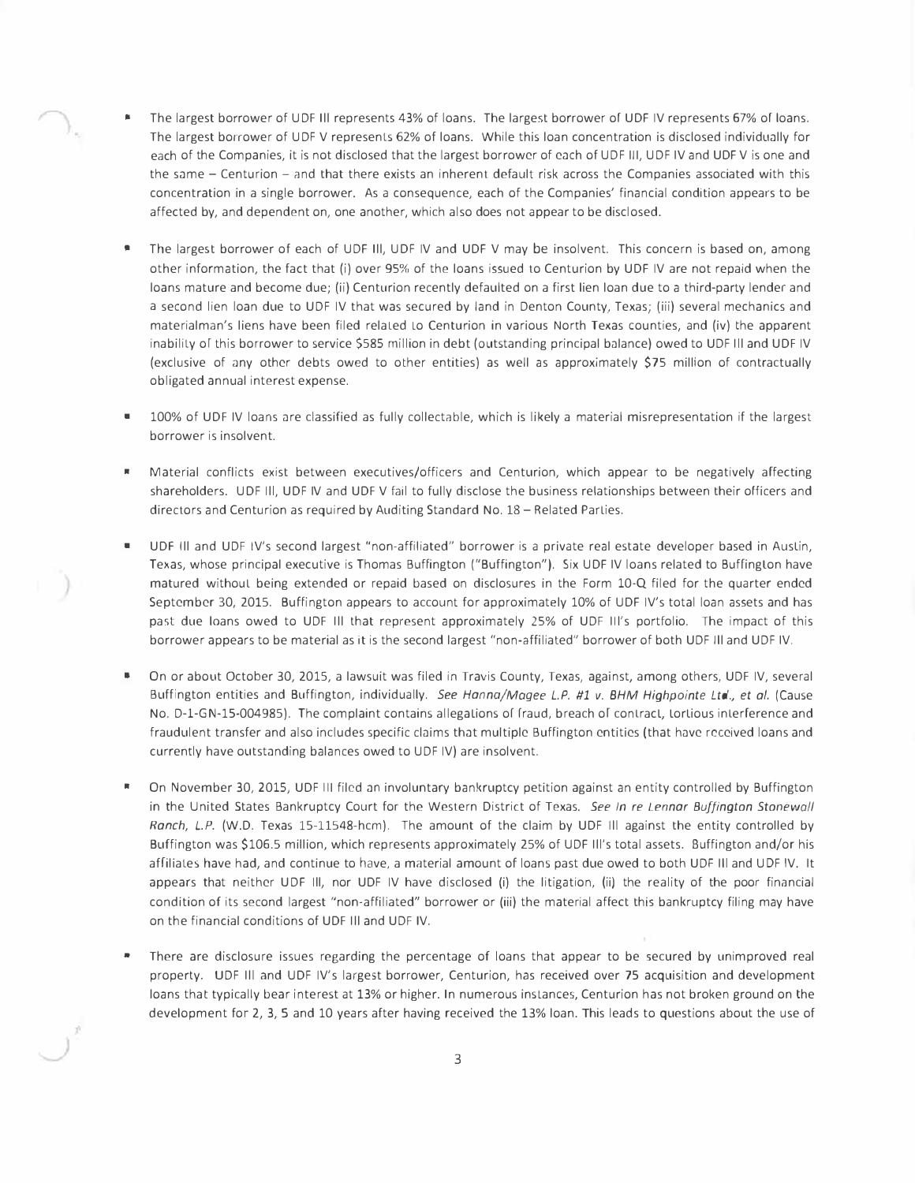- The largest borrower of UDF III represents 43% of loans. The largest borrower of UDF IV represents 67% of loans. The largest borrower of UDF V represents 62% of loans. While this loan concentration is disclosed individually for each of the Companies, it is not disclosed that the largest borrower of each of UDF III, UDF IV and UDF V is one and the same  $-$  Centurion  $-$  and that there exists an inherent default risk across the Companies associated with this concentration in a single borrower. As a consequence, each of the Companies' financial condition appears to be affected by, and dependent on, one another, which also does not appear to be disclosed.
- The largest borrower of each of UDF III, UDF IV and UDF V may be insolvent. This concern is based on, among other information, the fact that (i) over 95% of the loans issued to Centurion by UDF IV are not repaid when the loans mature and become due; (ii) Centurion recently defaulted on a first lien loan due to a third-party lender and a second lien loan due to UDF IV that was secured by land in Denton County, Texas; (iii) several mechanics and materialman's liens have been filed relaled Lo Centurion in various North Texas counties, and (iv) the apparent inability of this borrower to service \$585 million in debt (outstanding principal balance) owed to UDF III and UDF IV (exclusive of any other debts owed to other entities) as well as approximately \$75 million of contractually obligated annual interest expense.
- 100% of UDF IV loans are classified as fully collectable, which is likely a material misrepresentation if the largest borrower is insolvent.
- Material conflicts exist between executives/officers and Centurion, which appear to be negatively affecting shareholders. UDF Ill, UDF IV and UDF V fail to fully disclose the business relationships between their officers and directors and Centurion as required by Auditing Standard No. 18 - Related Parties.
- UDF Ill and UDF IV's second largest "non-affiliated" borrower is a private real estate developer based in Auslin, Texas, whose principal executive is Thomas Buffington ("Buffington"). Six UDF IV loans related to Buffington have matured withoul being extended or repaid based on disclosures in the Form 10-Q filed for the quarter ended September 30, 2015. Buffington appears to account for approximately 10% of UDF IV's total loan assets and has past due loans owed to UDF Ill that represent approximately 25% of UDF Ill's portfolio. The impact of this borrower appears to be material as it is the second largest "non-affiliated" borrower of both UDF Ill and UDF IV.
- On or about October 30, 2015, a lawsuit was filed in Travis County, Texas, against, among others, UDF IV, several Buffington entities and Buffington, individually. See Hanna/Magee L.P. #1 v. BHM Highpointe Ltd., et al. (Cause No. D-1-GN-15-004985). The complaint contains allegations of fraud, breach of contract, tortious interference and fraudulent transfer and also includes specific claims that multiple Buffington entities (that have received loans and currently have outstanding balances owed to UDF IV) are insolvent.
- \* On November 30, 2015, UDF III filed an involuntary bankruptcy petition against an entity controlled by Buffington in the United States Bankruptcy Court for the Western District of Texas. *See In re Lennar Buffington Stonewall Ranch, L.P.* (W.D. Texas 15-11548-hcm). The amount of the claim by UDF Ill against the entity controlled by Buffington was \$106.5 million, which represents approximately 25% of UDF Ill's total assets. Buffington and/or his affiliates have had, and continue to have, a material amount of loans past due owed to both UDF Ill and U DF IV. It appears that neither UDF Ill, nor UDF IV have disclosed (i) the litigation, (ii) the reality of the poor financial condition of its second largest "non-affiliated" borrower or (iii) the material affect this bankruptcy filing may have on the financial conditions of UDF Ill and UDF IV.
- There are disclosure issues regarding the percentage of loans that appear to be secured by unimproved real property. UDF Ill and UDF IV's largest borrower, Centurion, has received over 75 acquisition and development loans that typically bear interest at 13% or higher. In numerous instances, Centurion has not broken ground on the development for 2, 3, 5 and 10 years after having received the 13% loan. This leads to questions about the use of